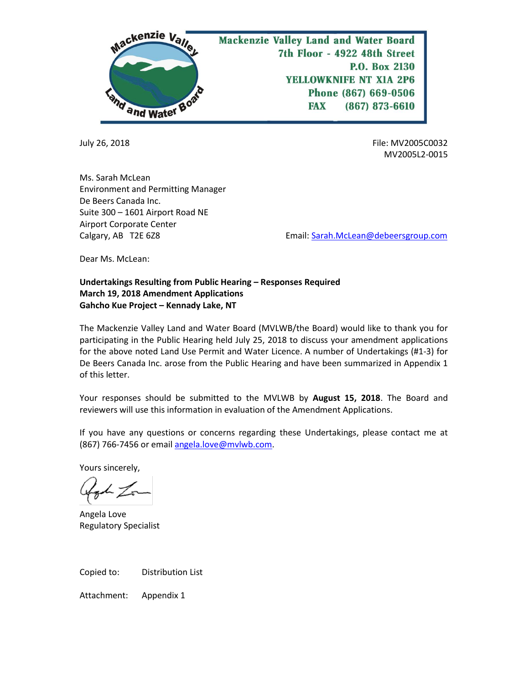

July 26, 2018 File: MV2005C0032 MV2005L2-0015

Ms. Sarah McLean Environment and Permitting Manager De Beers Canada Inc. Suite 300 – 1601 Airport Road NE Airport Corporate Center

Calgary, AB T2E 6Z8 **Email:** Sarah.McLean@debeersgroup.com

Dear Ms. McLean:

## **Undertakings Resulting from Public Hearing – Responses Required March 19, 2018 Amendment Applications Gahcho Kue Project – Kennady Lake, NT**

The Mackenzie Valley Land and Water Board (MVLWB/the Board) would like to thank you for participating in the Public Hearing held July 25, 2018 to discuss your amendment applications for the above noted Land Use Permit and Water Licence. A number of Undertakings (#1-3) for De Beers Canada Inc. arose from the Public Hearing and have been summarized in Appendix 1 of this letter.

Your responses should be submitted to the MVLWB by **August 15, 2018**. The Board and reviewers will use this information in evaluation of the Amendment Applications.

If you have any questions or concerns regarding these Undertakings, please contact me at (867) 766-7456 or email [angela.love@mvlwb.com.](mailto:angela.love@mvlwb.com)

Yours sincerely,

got Zon

Angela Love Regulatory Specialist

Copied to: Distribution List

Attachment: Appendix 1